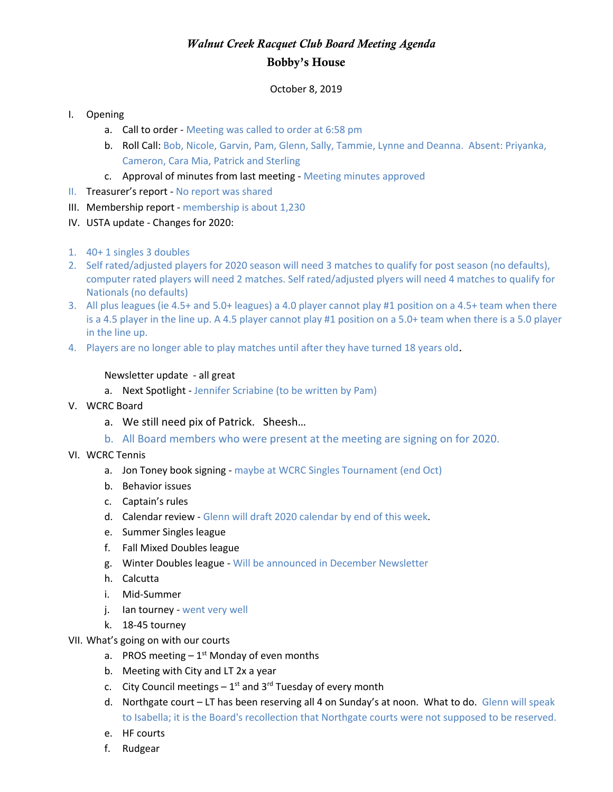# *Walnut Creek Racquet Club Board Meeting Agenda* Bobby's House

October 8, 2019

## I. Opening

- a. Call to order Meeting was called to order at 6:58 pm
- b. Roll Call: Bob, Nicole, Garvin, Pam, Glenn, Sally, Tammie, Lynne and Deanna. Absent: Priyanka, Cameron, Cara Mia, Patrick and Sterling
- c. Approval of minutes from last meeting Meeting minutes approved
- II. Treasurer's report No report was shared
- III. Membership report membership is about 1,230
- IV. USTA update Changes for 2020:
- 1. 40+ 1 singles 3 doubles
- 2. Self rated/adjusted players for 2020 season will need 3 matches to qualify for post season (no defaults), computer rated players will need 2 matches. Self rated/adjusted plyers will need 4 matches to qualify for Nationals (no defaults)
- 3. All plus leagues (ie 4.5+ and 5.0+ leagues) a 4.0 player cannot play #1 position on a 4.5+ team when there is a 4.5 player in the line up. A 4.5 player cannot play #1 position on a 5.0+ team when there is a 5.0 player in the line up.
- 4. Players are no longer able to play matches until after they have turned 18 years old.

### Newsletter update - all great

- a. Next Spotlight Jennifer Scriabine (to be written by Pam)
- V. WCRC Board
	- a. We still need pix of Patrick. Sheesh…
	- b. All Board members who were present at the meeting are signing on for 2020.

### VI. WCRC Tennis

- a. Jon Toney book signing maybe at WCRC Singles Tournament (end Oct)
- b. Behavior issues
- c. Captain's rules
- d. Calendar review Glenn will draft 2020 calendar by end of this week.
- e. Summer Singles league
- f. Fall Mixed Doubles league
- g. Winter Doubles league Will be announced in December Newsletter
- h. Calcutta
- i. Mid-Summer
- j. Ian tourney went very well
- k. 18-45 tourney
- VII. What's going on with our courts
	- a. PROS meeting  $-1$ <sup>st</sup> Monday of even months
	- b. Meeting with City and LT 2x a year
	- c. City Council meetings  $-1^{st}$  and 3<sup>rd</sup> Tuesday of every month
	- d. Northgate court LT has been reserving all 4 on Sunday's at noon. What to do. Glenn will speak to Isabella; it is the Board's recollection that Northgate courts were not supposed to be reserved.
	- e. HF courts
	- f. Rudgear